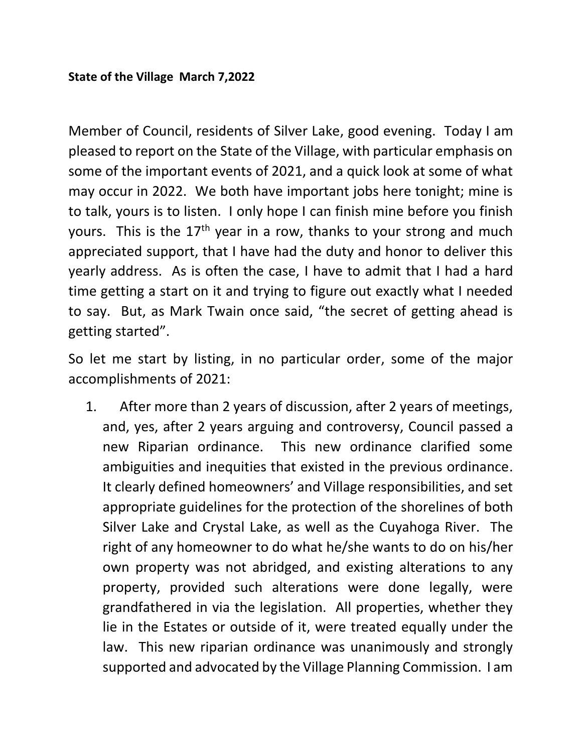Member of Council, residents of Silver Lake, good evening. Today I am pleased to report on the State of the Village, with particular emphasis on some of the important events of 2021, and a quick look at some of what may occur in 2022. We both have important jobs here tonight; mine is to talk, yours is to listen. I only hope I can finish mine before you finish yours. This is the  $17<sup>th</sup>$  year in a row, thanks to your strong and much appreciated support, that I have had the duty and honor to deliver this yearly address. As is often the case, I have to admit that I had a hard time getting a start on it and trying to figure out exactly what I needed to say. But, as Mark Twain once said, "the secret of getting ahead is getting started".

So let me start by listing, in no particular order, some of the major accomplishments of 2021:

1. After more than 2 years of discussion, after 2 years of meetings, and, yes, after 2 years arguing and controversy, Council passed a new Riparian ordinance. This new ordinance clarified some ambiguities and inequities that existed in the previous ordinance. It clearly defined homeowners' and Village responsibilities, and set appropriate guidelines for the protection of the shorelines of both Silver Lake and Crystal Lake, as well as the Cuyahoga River. The right of any homeowner to do what he/she wants to do on his/her own property was not abridged, and existing alterations to any property, provided such alterations were done legally, were grandfathered in via the legislation. All properties, whether they lie in the Estates or outside of it, were treated equally under the law. This new riparian ordinance was unanimously and strongly supported and advocated by the Village Planning Commission. I am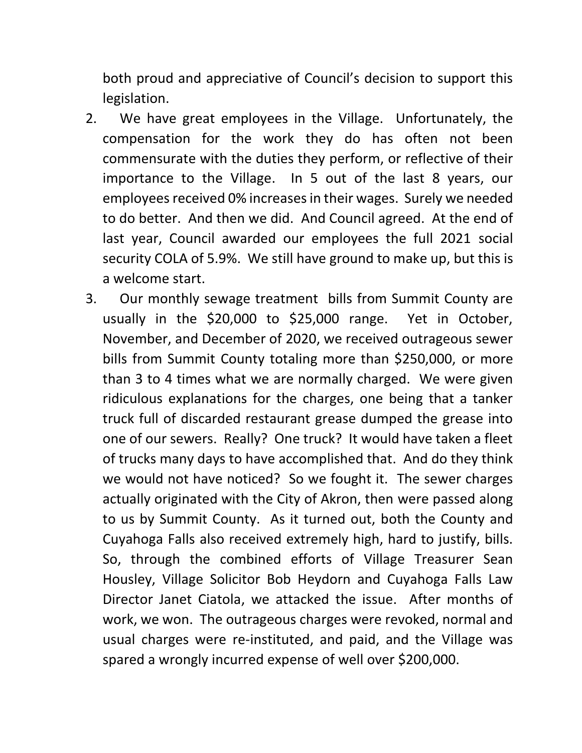both proud and appreciative of Council's decision to support this legislation.

- 2. We have great employees in the Village. Unfortunately, the compensation for the work they do has often not been commensurate with the duties they perform, or reflective of their importance to the Village. In 5 out of the last 8 years, our employees received 0% increases in their wages. Surely we needed to do better. And then we did. And Council agreed. At the end of last year, Council awarded our employees the full 2021 social security COLA of 5.9%. We still have ground to make up, but this is a welcome start.
- 3. Our monthly sewage treatment bills from Summit County are usually in the \$20,000 to \$25,000 range. Yet in October, November, and December of 2020, we received outrageous sewer bills from Summit County totaling more than \$250,000, or more than 3 to 4 times what we are normally charged. We were given ridiculous explanations for the charges, one being that a tanker truck full of discarded restaurant grease dumped the grease into one of our sewers. Really? One truck? It would have taken a fleet of trucks many days to have accomplished that. And do they think we would not have noticed? So we fought it. The sewer charges actually originated with the City of Akron, then were passed along to us by Summit County. As it turned out, both the County and Cuyahoga Falls also received extremely high, hard to justify, bills. So, through the combined efforts of Village Treasurer Sean Housley, Village Solicitor Bob Heydorn and Cuyahoga Falls Law Director Janet Ciatola, we attacked the issue. After months of work, we won. The outrageous charges were revoked, normal and usual charges were re-instituted, and paid, and the Village was spared a wrongly incurred expense of well over \$200,000.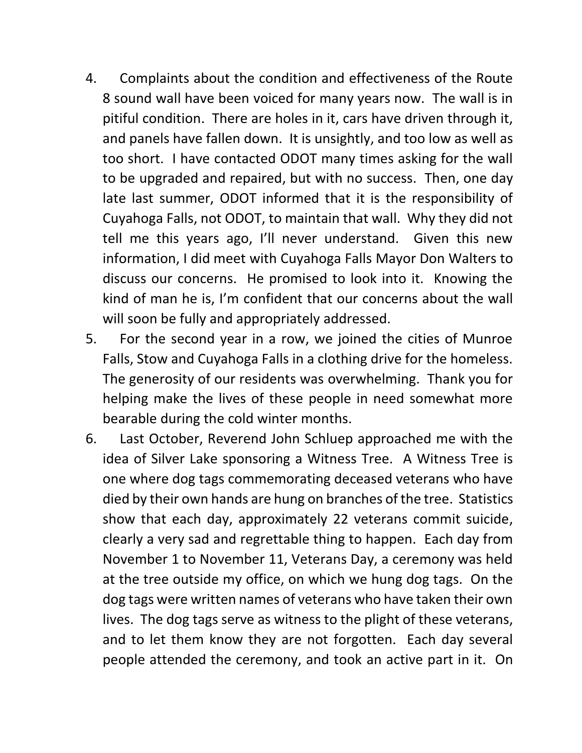- 4. Complaints about the condition and effectiveness of the Route 8 sound wall have been voiced for many years now. The wall is in pitiful condition. There are holes in it, cars have driven through it, and panels have fallen down. It is unsightly, and too low as well as too short. I have contacted ODOT many times asking for the wall to be upgraded and repaired, but with no success. Then, one day late last summer, ODOT informed that it is the responsibility of Cuyahoga Falls, not ODOT, to maintain that wall. Why they did not tell me this years ago, I'll never understand. Given this new information, I did meet with Cuyahoga Falls Mayor Don Walters to discuss our concerns. He promised to look into it. Knowing the kind of man he is, I'm confident that our concerns about the wall will soon be fully and appropriately addressed.
- 5. For the second year in a row, we joined the cities of Munroe Falls, Stow and Cuyahoga Falls in a clothing drive for the homeless. The generosity of our residents was overwhelming. Thank you for helping make the lives of these people in need somewhat more bearable during the cold winter months.
- 6. Last October, Reverend John Schluep approached me with the idea of Silver Lake sponsoring a Witness Tree. A Witness Tree is one where dog tags commemorating deceased veterans who have died by their own hands are hung on branches of the tree. Statistics show that each day, approximately 22 veterans commit suicide, clearly a very sad and regrettable thing to happen. Each day from November 1 to November 11, Veterans Day, a ceremony was held at the tree outside my office, on which we hung dog tags. On the dog tags were written names of veterans who have taken their own lives. The dog tags serve as witness to the plight of these veterans, and to let them know they are not forgotten. Each day several people attended the ceremony, and took an active part in it. On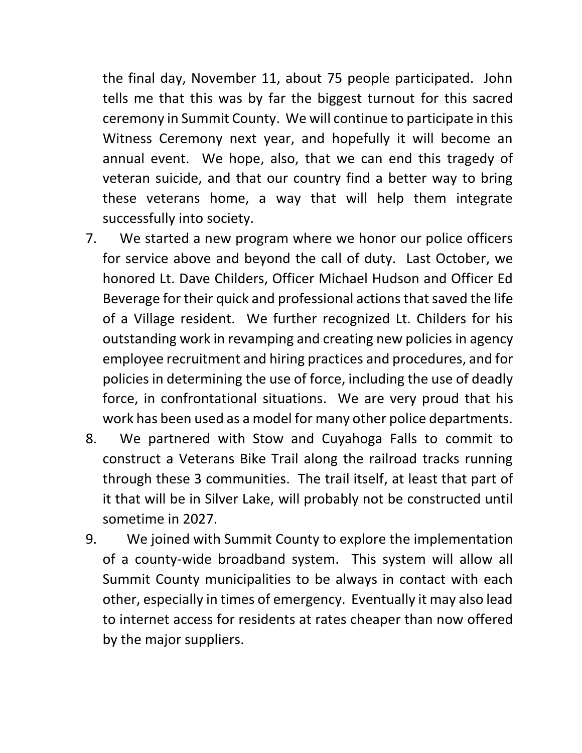the final day, November 11, about 75 people participated. John tells me that this was by far the biggest turnout for this sacred ceremony in Summit County. We will continue to participate in this Witness Ceremony next year, and hopefully it will become an annual event. We hope, also, that we can end this tragedy of veteran suicide, and that our country find a better way to bring these veterans home, a way that will help them integrate successfully into society.

- 7. We started a new program where we honor our police officers for service above and beyond the call of duty. Last October, we honored Lt. Dave Childers, Officer Michael Hudson and Officer Ed Beverage for their quick and professional actions that saved the life of a Village resident. We further recognized Lt. Childers for his outstanding work in revamping and creating new policies in agency employee recruitment and hiring practices and procedures, and for policies in determining the use of force, including the use of deadly force, in confrontational situations. We are very proud that his work has been used as a model for many other police departments.
- 8. We partnered with Stow and Cuyahoga Falls to commit to construct a Veterans Bike Trail along the railroad tracks running through these 3 communities. The trail itself, at least that part of it that will be in Silver Lake, will probably not be constructed until sometime in 2027.
- 9. We joined with Summit County to explore the implementation of a county-wide broadband system. This system will allow all Summit County municipalities to be always in contact with each other, especially in times of emergency. Eventually it may also lead to internet access for residents at rates cheaper than now offered by the major suppliers.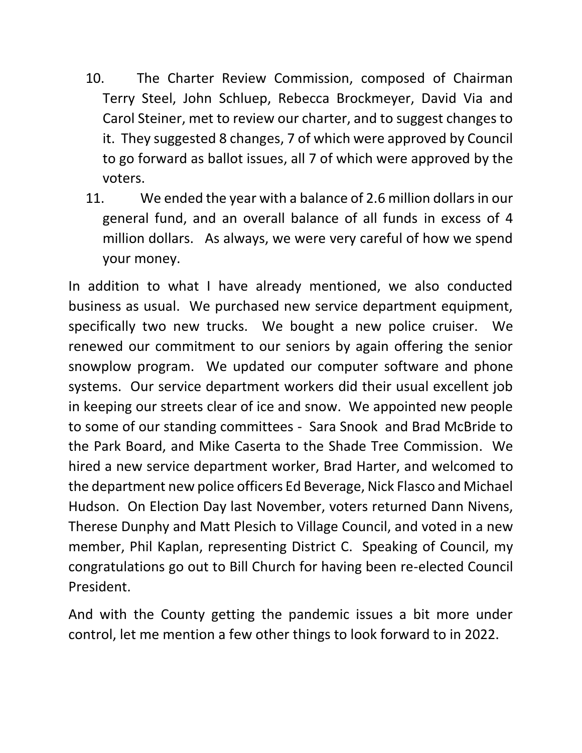- 10. The Charter Review Commission, composed of Chairman Terry Steel, John Schluep, Rebecca Brockmeyer, David Via and Carol Steiner, met to review our charter, and to suggest changes to it. They suggested 8 changes, 7 of which were approved by Council to go forward as ballot issues, all 7 of which were approved by the voters.
- 11. We ended the year with a balance of 2.6 million dollars in our general fund, and an overall balance of all funds in excess of 4 million dollars. As always, we were very careful of how we spend your money.

In addition to what I have already mentioned, we also conducted business as usual. We purchased new service department equipment, specifically two new trucks. We bought a new police cruiser. We renewed our commitment to our seniors by again offering the senior snowplow program. We updated our computer software and phone systems. Our service department workers did their usual excellent job in keeping our streets clear of ice and snow. We appointed new people to some of our standing committees - Sara Snook and Brad McBride to the Park Board, and Mike Caserta to the Shade Tree Commission. We hired a new service department worker, Brad Harter, and welcomed to the department new police officers Ed Beverage, Nick Flasco and Michael Hudson. On Election Day last November, voters returned Dann Nivens, Therese Dunphy and Matt Plesich to Village Council, and voted in a new member, Phil Kaplan, representing District C. Speaking of Council, my congratulations go out to Bill Church for having been re-elected Council President.

And with the County getting the pandemic issues a bit more under control, let me mention a few other things to look forward to in 2022.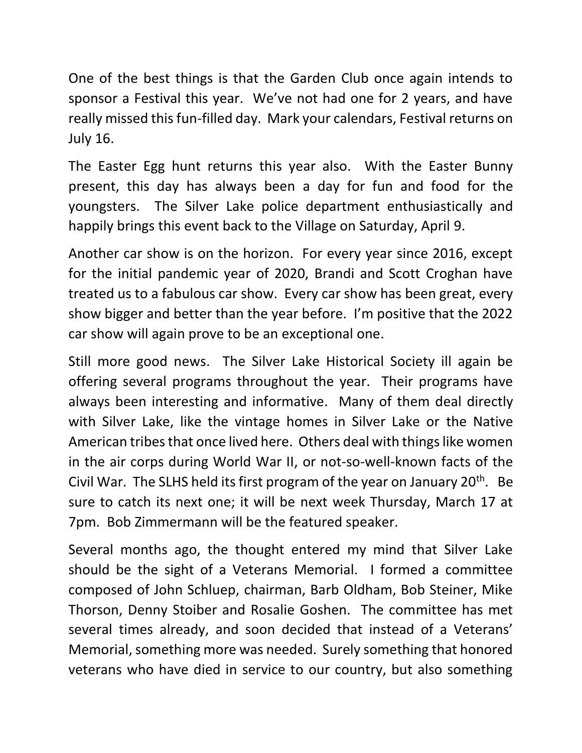One of the best things is that the Garden Club once again intends to sponsor a Festival this year. We've not had one for 2 years, and have really missed this fun-filled day. Mark your calendars, Festival returns on July 16.

The Easter Egg hunt returns this year also. With the Easter Bunny present, this day has always been a day for fun and food for the youngsters. The Silver Lake police department enthusiastically and happily brings this event back to the Village on Saturday, April 9.

Another car show is on the horizon. For every year since 2016, except for the initial pandemic year of 2020, Brandi and Scott Croghan have treated us to a fabulous car show. Every car show has been great, every show bigger and better than the year before. I'm positive that the 2022 car show will again prove to be an exceptional one.

Still more good news. The Silver Lake Historical Society ill again be offering several programs throughout the year. Their programs have always been interesting and informative. Many of them deal directly with Silver Lake, like the vintage homes in Silver Lake or the Native American tribes that once lived here. Others deal with things like women in the air corps during World War II, or not-so-well-known facts of the Civil War. The SLHS held its first program of the year on January  $20<sup>th</sup>$ . Be sure to catch its next one; it will be next week Thursday, March 17 at 7pm. Bob Zimmermann will be the featured speaker.

Several months ago, the thought entered my mind that Silver Lake should be the sight of a Veterans Memorial. I formed a committee composed of John Schluep, chairman, Barb Oldham, Bob Steiner, Mike Thorson, Denny Stoiber and Rosalie Goshen. The committee has met several times already, and soon decided that instead of a Veterans' Memorial, something more was needed. Surely something that honored veterans who have died in service to our country, but also something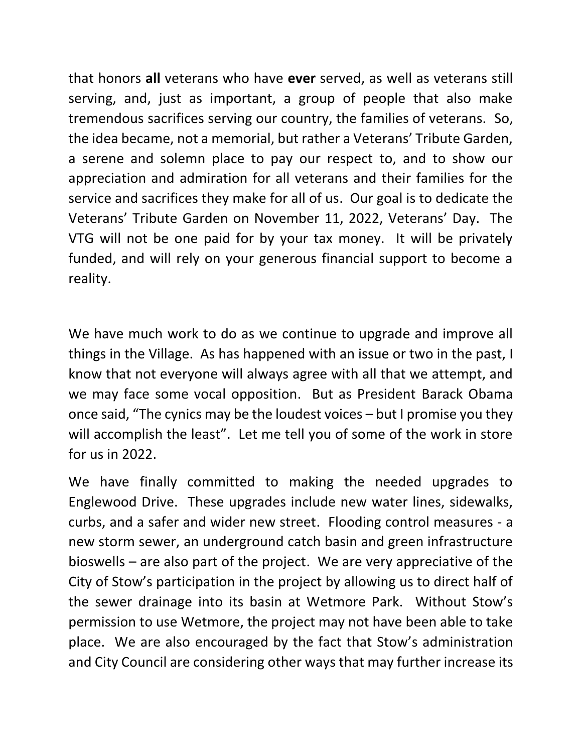that honors **all** veterans who have **ever** served, as well as veterans still serving, and, just as important, a group of people that also make tremendous sacrifices serving our country, the families of veterans. So, the idea became, not a memorial, but rather a Veterans' Tribute Garden, a serene and solemn place to pay our respect to, and to show our appreciation and admiration for all veterans and their families for the service and sacrifices they make for all of us. Our goal is to dedicate the Veterans' Tribute Garden on November 11, 2022, Veterans' Day. The VTG will not be one paid for by your tax money. It will be privately funded, and will rely on your generous financial support to become a reality.

We have much work to do as we continue to upgrade and improve all things in the Village. As has happened with an issue or two in the past, I know that not everyone will always agree with all that we attempt, and we may face some vocal opposition. But as President Barack Obama once said, "The cynics may be the loudest voices – but I promise you they will accomplish the least". Let me tell you of some of the work in store for us in 2022.

We have finally committed to making the needed upgrades to Englewood Drive. These upgrades include new water lines, sidewalks, curbs, and a safer and wider new street. Flooding control measures - a new storm sewer, an underground catch basin and green infrastructure bioswells – are also part of the project. We are very appreciative of the City of Stow's participation in the project by allowing us to direct half of the sewer drainage into its basin at Wetmore Park. Without Stow's permission to use Wetmore, the project may not have been able to take place. We are also encouraged by the fact that Stow's administration and City Council are considering other ways that may further increase its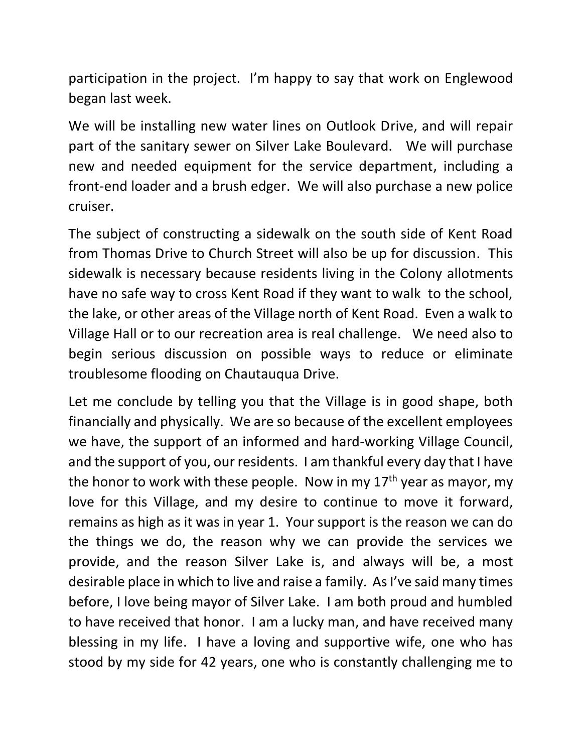participation in the project. I'm happy to say that work on Englewood began last week.

We will be installing new water lines on Outlook Drive, and will repair part of the sanitary sewer on Silver Lake Boulevard. We will purchase new and needed equipment for the service department, including a front-end loader and a brush edger. We will also purchase a new police cruiser.

The subject of constructing a sidewalk on the south side of Kent Road from Thomas Drive to Church Street will also be up for discussion. This sidewalk is necessary because residents living in the Colony allotments have no safe way to cross Kent Road if they want to walk to the school, the lake, or other areas of the Village north of Kent Road. Even a walk to Village Hall or to our recreation area is real challenge. We need also to begin serious discussion on possible ways to reduce or eliminate troublesome flooding on Chautauqua Drive.

Let me conclude by telling you that the Village is in good shape, both financially and physically. We are so because of the excellent employees we have, the support of an informed and hard-working Village Council, and the support of you, our residents. I am thankful every day that I have the honor to work with these people. Now in my 17<sup>th</sup> year as mayor, my love for this Village, and my desire to continue to move it forward, remains as high as it was in year 1. Your support is the reason we can do the things we do, the reason why we can provide the services we provide, and the reason Silver Lake is, and always will be, a most desirable place in which to live and raise a family. As I've said many times before, I love being mayor of Silver Lake. I am both proud and humbled to have received that honor. I am a lucky man, and have received many blessing in my life. I have a loving and supportive wife, one who has stood by my side for 42 years, one who is constantly challenging me to